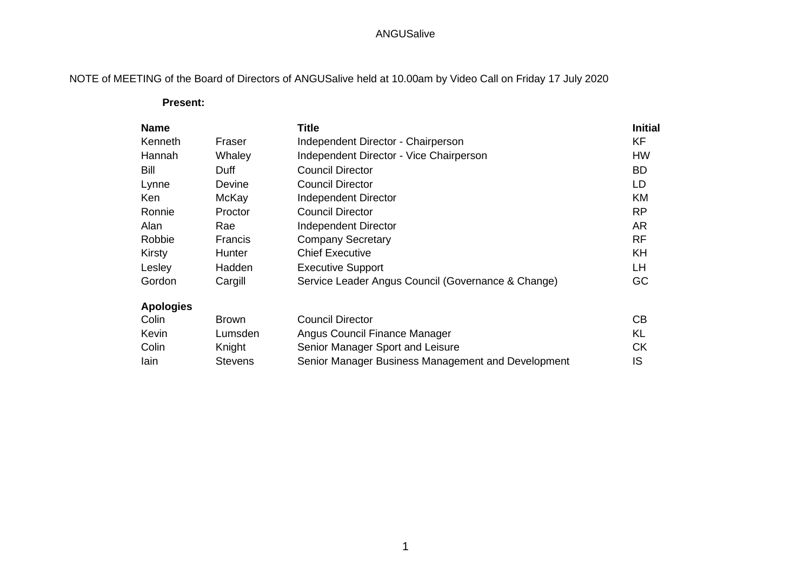## ANGUSalive

# NOTE of MEETING of the Board of Directors of ANGUSalive held at 10.00am by Video Call on Friday 17 July 2020

#### **Present:**

| <b>Name</b>      |                | <b>Title</b>                                       | <b>Initial</b> |
|------------------|----------------|----------------------------------------------------|----------------|
| Kenneth          | Fraser         | Independent Director - Chairperson                 | <b>KF</b>      |
| Hannah           | Whaley         | Independent Director - Vice Chairperson            | <b>HW</b>      |
| Bill             | Duff           | <b>Council Director</b>                            | <b>BD</b>      |
| Lynne            | Devine         | <b>Council Director</b>                            | LD             |
| Ken              | McKay          | Independent Director                               | <b>KM</b>      |
| Ronnie           | Proctor        | <b>Council Director</b>                            | RP             |
| Alan             | Rae            | Independent Director                               | <b>AR</b>      |
| Robbie           | Francis        | <b>Company Secretary</b>                           | <b>RF</b>      |
| Kirsty           | Hunter         | <b>Chief Executive</b>                             | KH             |
| Lesley           | Hadden         | <b>Executive Support</b>                           | LH             |
| Gordon           | Cargill        | Service Leader Angus Council (Governance & Change) | GC             |
| <b>Apologies</b> |                |                                                    |                |
| Colin            | <b>Brown</b>   | <b>Council Director</b>                            | CB             |
| Kevin            | Lumsden        | Angus Council Finance Manager                      | <b>KL</b>      |
| Colin            | Knight         | Senior Manager Sport and Leisure                   | <b>CK</b>      |
| lain             | <b>Stevens</b> | Senior Manager Business Management and Development | IS             |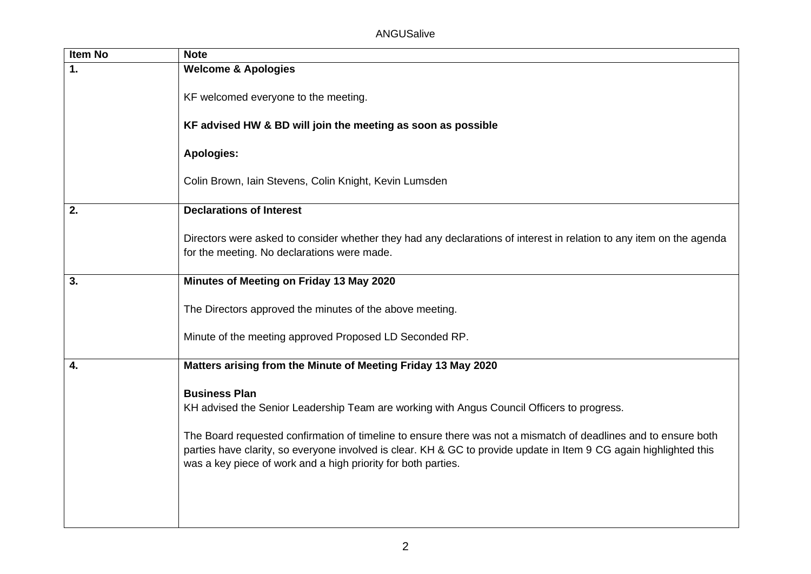| Item No        | <b>Note</b>                                                                                                                                                                                                                                                                                                                                                                                                                  |
|----------------|------------------------------------------------------------------------------------------------------------------------------------------------------------------------------------------------------------------------------------------------------------------------------------------------------------------------------------------------------------------------------------------------------------------------------|
| $\mathbf{1}$ . | <b>Welcome &amp; Apologies</b>                                                                                                                                                                                                                                                                                                                                                                                               |
|                | KF welcomed everyone to the meeting.                                                                                                                                                                                                                                                                                                                                                                                         |
|                | KF advised HW & BD will join the meeting as soon as possible                                                                                                                                                                                                                                                                                                                                                                 |
|                | <b>Apologies:</b>                                                                                                                                                                                                                                                                                                                                                                                                            |
|                | Colin Brown, Iain Stevens, Colin Knight, Kevin Lumsden                                                                                                                                                                                                                                                                                                                                                                       |
| 2.             | <b>Declarations of Interest</b>                                                                                                                                                                                                                                                                                                                                                                                              |
|                | Directors were asked to consider whether they had any declarations of interest in relation to any item on the agenda<br>for the meeting. No declarations were made.                                                                                                                                                                                                                                                          |
| 3.             | Minutes of Meeting on Friday 13 May 2020                                                                                                                                                                                                                                                                                                                                                                                     |
|                | The Directors approved the minutes of the above meeting.                                                                                                                                                                                                                                                                                                                                                                     |
|                | Minute of the meeting approved Proposed LD Seconded RP.                                                                                                                                                                                                                                                                                                                                                                      |
| 4.             | Matters arising from the Minute of Meeting Friday 13 May 2020                                                                                                                                                                                                                                                                                                                                                                |
|                | <b>Business Plan</b><br>KH advised the Senior Leadership Team are working with Angus Council Officers to progress.<br>The Board requested confirmation of timeline to ensure there was not a mismatch of deadlines and to ensure both<br>parties have clarity, so everyone involved is clear. KH & GC to provide update in Item 9 CG again highlighted this<br>was a key piece of work and a high priority for both parties. |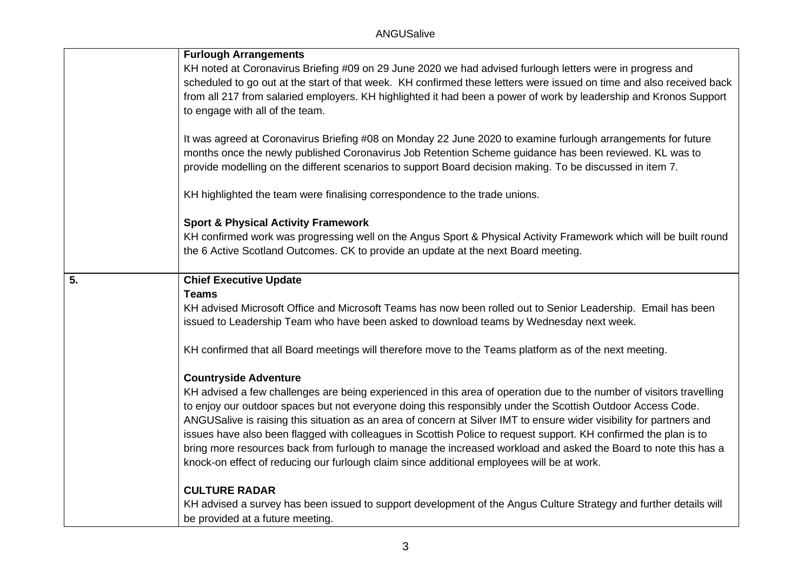|                  | <b>Furlough Arrangements</b>                                                                                                                                                                                                                                                                                                                                                                                                                                                                                                                                                                                                                                                                     |
|------------------|--------------------------------------------------------------------------------------------------------------------------------------------------------------------------------------------------------------------------------------------------------------------------------------------------------------------------------------------------------------------------------------------------------------------------------------------------------------------------------------------------------------------------------------------------------------------------------------------------------------------------------------------------------------------------------------------------|
|                  | KH noted at Coronavirus Briefing #09 on 29 June 2020 we had advised furlough letters were in progress and<br>scheduled to go out at the start of that week. KH confirmed these letters were issued on time and also received back                                                                                                                                                                                                                                                                                                                                                                                                                                                                |
|                  | from all 217 from salaried employers. KH highlighted it had been a power of work by leadership and Kronos Support<br>to engage with all of the team.                                                                                                                                                                                                                                                                                                                                                                                                                                                                                                                                             |
|                  | It was agreed at Coronavirus Briefing #08 on Monday 22 June 2020 to examine furlough arrangements for future<br>months once the newly published Coronavirus Job Retention Scheme guidance has been reviewed. KL was to<br>provide modelling on the different scenarios to support Board decision making. To be discussed in item 7.                                                                                                                                                                                                                                                                                                                                                              |
|                  | KH highlighted the team were finalising correspondence to the trade unions.                                                                                                                                                                                                                                                                                                                                                                                                                                                                                                                                                                                                                      |
|                  | <b>Sport &amp; Physical Activity Framework</b>                                                                                                                                                                                                                                                                                                                                                                                                                                                                                                                                                                                                                                                   |
|                  | KH confirmed work was progressing well on the Angus Sport & Physical Activity Framework which will be built round<br>the 6 Active Scotland Outcomes. CK to provide an update at the next Board meeting.                                                                                                                                                                                                                                                                                                                                                                                                                                                                                          |
| $\overline{5}$ . | <b>Chief Executive Update</b>                                                                                                                                                                                                                                                                                                                                                                                                                                                                                                                                                                                                                                                                    |
|                  | <b>Teams</b><br>KH advised Microsoft Office and Microsoft Teams has now been rolled out to Senior Leadership. Email has been<br>issued to Leadership Team who have been asked to download teams by Wednesday next week.                                                                                                                                                                                                                                                                                                                                                                                                                                                                          |
|                  | KH confirmed that all Board meetings will therefore move to the Teams platform as of the next meeting.                                                                                                                                                                                                                                                                                                                                                                                                                                                                                                                                                                                           |
|                  | <b>Countryside Adventure</b>                                                                                                                                                                                                                                                                                                                                                                                                                                                                                                                                                                                                                                                                     |
|                  | KH advised a few challenges are being experienced in this area of operation due to the number of visitors travelling<br>to enjoy our outdoor spaces but not everyone doing this responsibly under the Scottish Outdoor Access Code.<br>ANGUSalive is raising this situation as an area of concern at Silver IMT to ensure wider visibility for partners and<br>issues have also been flagged with colleagues in Scottish Police to request support. KH confirmed the plan is to<br>bring more resources back from furlough to manage the increased workload and asked the Board to note this has a<br>knock-on effect of reducing our furlough claim since additional employees will be at work. |
|                  | <b>CULTURE RADAR</b>                                                                                                                                                                                                                                                                                                                                                                                                                                                                                                                                                                                                                                                                             |
|                  | KH advised a survey has been issued to support development of the Angus Culture Strategy and further details will<br>be provided at a future meeting.                                                                                                                                                                                                                                                                                                                                                                                                                                                                                                                                            |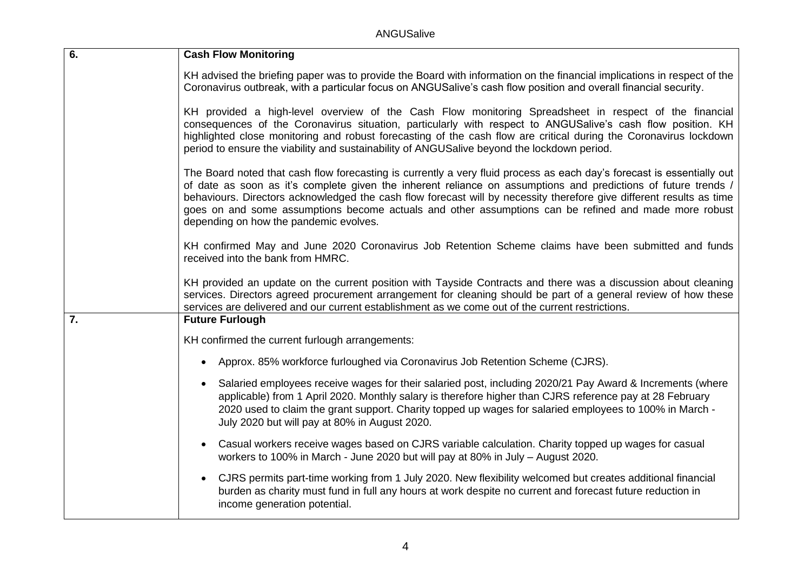ANGUSalive

| 6. | <b>Cash Flow Monitoring</b>                                                                                                                                                                                                                                                                                                                                                                                                                                                                                         |  |
|----|---------------------------------------------------------------------------------------------------------------------------------------------------------------------------------------------------------------------------------------------------------------------------------------------------------------------------------------------------------------------------------------------------------------------------------------------------------------------------------------------------------------------|--|
|    | KH advised the briefing paper was to provide the Board with information on the financial implications in respect of the<br>Coronavirus outbreak, with a particular focus on ANGUSalive's cash flow position and overall financial security.                                                                                                                                                                                                                                                                         |  |
|    | KH provided a high-level overview of the Cash Flow monitoring Spreadsheet in respect of the financial<br>consequences of the Coronavirus situation, particularly with respect to ANGUSalive's cash flow position. KH<br>highlighted close monitoring and robust forecasting of the cash flow are critical during the Coronavirus lockdown<br>period to ensure the viability and sustainability of ANGUSalive beyond the lockdown period.                                                                            |  |
|    | The Board noted that cash flow forecasting is currently a very fluid process as each day's forecast is essentially out<br>of date as soon as it's complete given the inherent reliance on assumptions and predictions of future trends /<br>behaviours. Directors acknowledged the cash flow forecast will by necessity therefore give different results as time<br>goes on and some assumptions become actuals and other assumptions can be refined and made more robust<br>depending on how the pandemic evolves. |  |
|    | KH confirmed May and June 2020 Coronavirus Job Retention Scheme claims have been submitted and funds<br>received into the bank from HMRC.                                                                                                                                                                                                                                                                                                                                                                           |  |
|    | KH provided an update on the current position with Tayside Contracts and there was a discussion about cleaning<br>services. Directors agreed procurement arrangement for cleaning should be part of a general review of how these<br>services are delivered and our current establishment as we come out of the current restrictions.                                                                                                                                                                               |  |
| 7. | <b>Future Furlough</b>                                                                                                                                                                                                                                                                                                                                                                                                                                                                                              |  |
|    | KH confirmed the current furlough arrangements:                                                                                                                                                                                                                                                                                                                                                                                                                                                                     |  |
|    | Approx. 85% workforce furloughed via Coronavirus Job Retention Scheme (CJRS).<br>$\bullet$                                                                                                                                                                                                                                                                                                                                                                                                                          |  |
|    | Salaried employees receive wages for their salaried post, including 2020/21 Pay Award & Increments (where<br>$\bullet$<br>applicable) from 1 April 2020. Monthly salary is therefore higher than CJRS reference pay at 28 February<br>2020 used to claim the grant support. Charity topped up wages for salaried employees to 100% in March -<br>July 2020 but will pay at 80% in August 2020.                                                                                                                      |  |
|    | Casual workers receive wages based on CJRS variable calculation. Charity topped up wages for casual<br>$\bullet$<br>workers to 100% in March - June 2020 but will pay at 80% in July - August 2020.                                                                                                                                                                                                                                                                                                                 |  |
|    | CJRS permits part-time working from 1 July 2020. New flexibility welcomed but creates additional financial<br>$\bullet$<br>burden as charity must fund in full any hours at work despite no current and forecast future reduction in<br>income generation potential.                                                                                                                                                                                                                                                |  |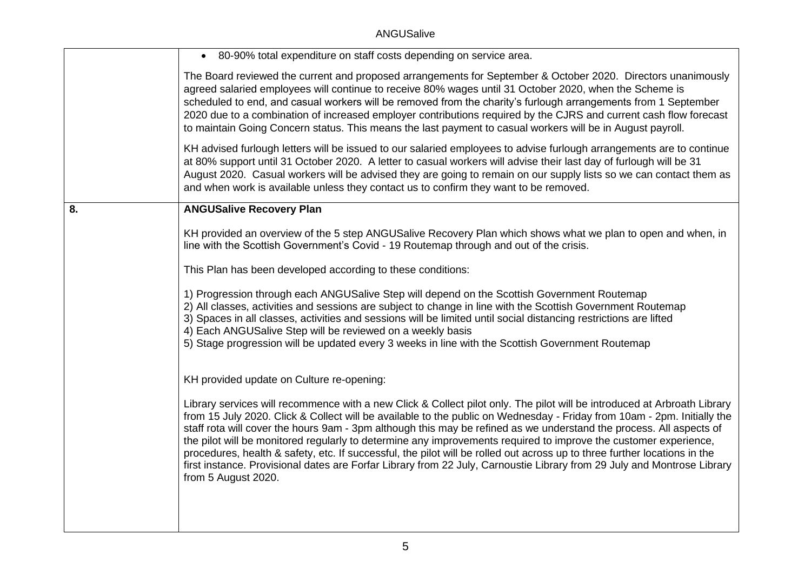## ANGUSalive

|    | • 80-90% total expenditure on staff costs depending on service area.                                                                                                                                                                                                                                                                                                                                                                                                                                                                                                                                                                                                                                                                                                          |
|----|-------------------------------------------------------------------------------------------------------------------------------------------------------------------------------------------------------------------------------------------------------------------------------------------------------------------------------------------------------------------------------------------------------------------------------------------------------------------------------------------------------------------------------------------------------------------------------------------------------------------------------------------------------------------------------------------------------------------------------------------------------------------------------|
|    | The Board reviewed the current and proposed arrangements for September & October 2020. Directors unanimously<br>agreed salaried employees will continue to receive 80% wages until 31 October 2020, when the Scheme is<br>scheduled to end, and casual workers will be removed from the charity's furlough arrangements from 1 September<br>2020 due to a combination of increased employer contributions required by the CJRS and current cash flow forecast<br>to maintain Going Concern status. This means the last payment to casual workers will be in August payroll.                                                                                                                                                                                                   |
|    | KH advised furlough letters will be issued to our salaried employees to advise furlough arrangements are to continue<br>at 80% support until 31 October 2020. A letter to casual workers will advise their last day of furlough will be 31<br>August 2020. Casual workers will be advised they are going to remain on our supply lists so we can contact them as<br>and when work is available unless they contact us to confirm they want to be removed.                                                                                                                                                                                                                                                                                                                     |
| 8. | <b>ANGUSalive Recovery Plan</b>                                                                                                                                                                                                                                                                                                                                                                                                                                                                                                                                                                                                                                                                                                                                               |
|    | KH provided an overview of the 5 step ANGUSalive Recovery Plan which shows what we plan to open and when, in<br>line with the Scottish Government's Covid - 19 Routemap through and out of the crisis.                                                                                                                                                                                                                                                                                                                                                                                                                                                                                                                                                                        |
|    | This Plan has been developed according to these conditions:                                                                                                                                                                                                                                                                                                                                                                                                                                                                                                                                                                                                                                                                                                                   |
|    | 1) Progression through each ANGUSalive Step will depend on the Scottish Government Routemap<br>2) All classes, activities and sessions are subject to change in line with the Scottish Government Routemap<br>3) Spaces in all classes, activities and sessions will be limited until social distancing restrictions are lifted<br>4) Each ANGUSalive Step will be reviewed on a weekly basis<br>5) Stage progression will be updated every 3 weeks in line with the Scottish Government Routemap                                                                                                                                                                                                                                                                             |
|    | KH provided update on Culture re-opening:                                                                                                                                                                                                                                                                                                                                                                                                                                                                                                                                                                                                                                                                                                                                     |
|    | Library services will recommence with a new Click & Collect pilot only. The pilot will be introduced at Arbroath Library<br>from 15 July 2020. Click & Collect will be available to the public on Wednesday - Friday from 10am - 2pm. Initially the<br>staff rota will cover the hours 9am - 3pm although this may be refined as we understand the process. All aspects of<br>the pilot will be monitored regularly to determine any improvements required to improve the customer experience,<br>procedures, health & safety, etc. If successful, the pilot will be rolled out across up to three further locations in the<br>first instance. Provisional dates are Forfar Library from 22 July, Carnoustie Library from 29 July and Montrose Library<br>from 5 August 2020. |
|    |                                                                                                                                                                                                                                                                                                                                                                                                                                                                                                                                                                                                                                                                                                                                                                               |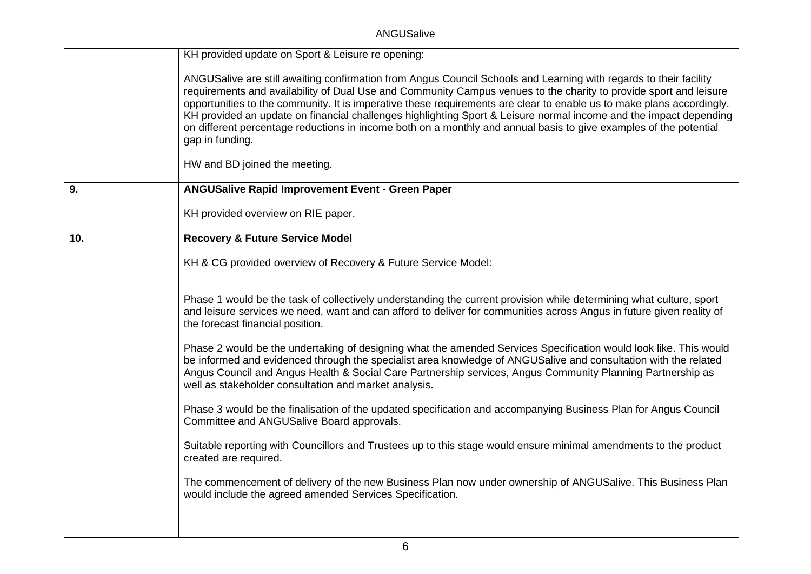ANGUSalive

|     | KH provided update on Sport & Leisure re opening:                                                                                                                                                                                                                                                                                                                                                                                                                                                                                                                                                                                                             |
|-----|---------------------------------------------------------------------------------------------------------------------------------------------------------------------------------------------------------------------------------------------------------------------------------------------------------------------------------------------------------------------------------------------------------------------------------------------------------------------------------------------------------------------------------------------------------------------------------------------------------------------------------------------------------------|
|     | ANGUSalive are still awaiting confirmation from Angus Council Schools and Learning with regards to their facility<br>requirements and availability of Dual Use and Community Campus venues to the charity to provide sport and leisure<br>opportunities to the community. It is imperative these requirements are clear to enable us to make plans accordingly.<br>KH provided an update on financial challenges highlighting Sport & Leisure normal income and the impact depending<br>on different percentage reductions in income both on a monthly and annual basis to give examples of the potential<br>gap in funding.<br>HW and BD joined the meeting. |
| 9.  | <b>ANGUSalive Rapid Improvement Event - Green Paper</b>                                                                                                                                                                                                                                                                                                                                                                                                                                                                                                                                                                                                       |
|     | KH provided overview on RIE paper.                                                                                                                                                                                                                                                                                                                                                                                                                                                                                                                                                                                                                            |
| 10. | <b>Recovery &amp; Future Service Model</b>                                                                                                                                                                                                                                                                                                                                                                                                                                                                                                                                                                                                                    |
|     | KH & CG provided overview of Recovery & Future Service Model:                                                                                                                                                                                                                                                                                                                                                                                                                                                                                                                                                                                                 |
|     | Phase 1 would be the task of collectively understanding the current provision while determining what culture, sport<br>and leisure services we need, want and can afford to deliver for communities across Angus in future given reality of<br>the forecast financial position.                                                                                                                                                                                                                                                                                                                                                                               |
|     | Phase 2 would be the undertaking of designing what the amended Services Specification would look like. This would<br>be informed and evidenced through the specialist area knowledge of ANGUSalive and consultation with the related<br>Angus Council and Angus Health & Social Care Partnership services, Angus Community Planning Partnership as<br>well as stakeholder consultation and market analysis.                                                                                                                                                                                                                                                   |
|     | Phase 3 would be the finalisation of the updated specification and accompanying Business Plan for Angus Council<br>Committee and ANGUSalive Board approvals.                                                                                                                                                                                                                                                                                                                                                                                                                                                                                                  |
|     | Suitable reporting with Councillors and Trustees up to this stage would ensure minimal amendments to the product<br>created are required.                                                                                                                                                                                                                                                                                                                                                                                                                                                                                                                     |
|     | The commencement of delivery of the new Business Plan now under ownership of ANGUSalive. This Business Plan<br>would include the agreed amended Services Specification.                                                                                                                                                                                                                                                                                                                                                                                                                                                                                       |
|     |                                                                                                                                                                                                                                                                                                                                                                                                                                                                                                                                                                                                                                                               |